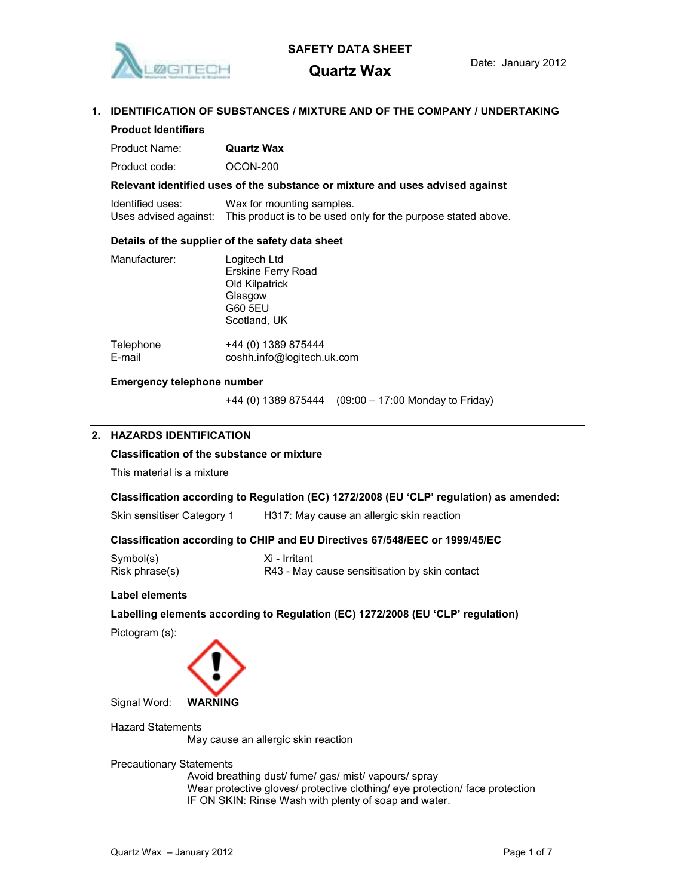

Product Identifiers

# SAFETY DATA SHEET

# 1. IDENTIFICATION OF SUBSTANCES / MIXTURE AND OF THE COMPANY / UNDERTAKING

# Product Name: Quartz Wax Product code: OCON-200 Relevant identified uses of the substance or mixture and uses advised against Identified uses: Wax for mounting samples. Uses advised against: This product is to be used only for the purpose stated above. Details of the supplier of the safety data sheet Manufacturer: Logitech Ltd Erskine Ferry Road Old Kilpatrick Glasgow G60 5EU Scotland, UK Telephone +44 (0) 1389 875444

# Emergency telephone number

+44 (0) 1389 875444 (09:00 – 17:00 Monday to Friday)

### 2. HAZARDS IDENTIFICATION

### Classification of the substance or mixture

E-mail coshh.info@logitech.uk.com

This material is a mixture

### Classification according to Regulation (EC) 1272/2008 (EU 'CLP' regulation) as amended:

Skin sensitiser Category 1 H317: May cause an allergic skin reaction

### Classification according to CHIP and EU Directives 67/548/EEC or 1999/45/EC

| Symbol(s)      | Xi - Irritant                                 |
|----------------|-----------------------------------------------|
| Risk phrase(s) | R43 - May cause sensitisation by skin contact |

### Label elements

Labelling elements according to Regulation (EC) 1272/2008 (EU 'CLP' regulation)

Pictogram (s):



Signal Word: WARNING

Hazard Statements May cause an allergic skin reaction

Precautionary Statements

Avoid breathing dust/ fume/ gas/ mist/ vapours/ spray Wear protective gloves/ protective clothing/ eye protection/ face protection IF ON SKIN: Rinse Wash with plenty of soap and water.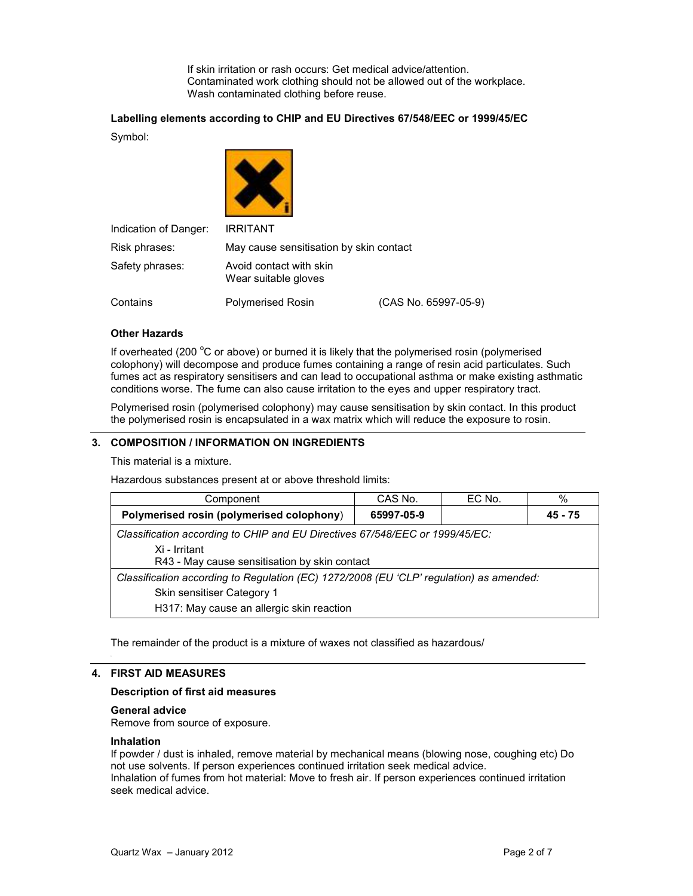If skin irritation or rash occurs: Get medical advice/attention. Contaminated work clothing should not be allowed out of the workplace. Wash contaminated clothing before reuse.

### Labelling elements according to CHIP and EU Directives 67/548/EEC or 1999/45/EC

Symbol:

| Indication of Danger: | <b>IRRITANT</b>                                 |                      |
|-----------------------|-------------------------------------------------|----------------------|
| Risk phrases:         | May cause sensitisation by skin contact         |                      |
| Safety phrases:       | Avoid contact with skin<br>Wear suitable gloves |                      |
| Contains              | <b>Polymerised Rosin</b>                        | (CAS No. 65997-05-9) |

### Other Hazards

If overheated (200 $\degree$ C or above) or burned it is likely that the polymerised rosin (polymerised colophony) will decompose and produce fumes containing a range of resin acid particulates. Such fumes act as respiratory sensitisers and can lead to occupational asthma or make existing asthmatic conditions worse. The fume can also cause irritation to the eyes and upper respiratory tract.

Polymerised rosin (polymerised colophony) may cause sensitisation by skin contact. In this product the polymerised rosin is encapsulated in a wax matrix which will reduce the exposure to rosin.

### 3. COMPOSITION / INFORMATION ON INGREDIENTS

This material is a mixture.

Hazardous substances present at or above threshold limits:

| Component                                                                                                                                                          | CAS No.    | EC No. | $\%$    |
|--------------------------------------------------------------------------------------------------------------------------------------------------------------------|------------|--------|---------|
| Polymerised rosin (polymerised colophony)                                                                                                                          | 65997-05-9 |        | 45 - 75 |
| Classification according to CHIP and EU Directives 67/548/EEC or 1999/45/EC:<br>Xi - Irritant<br>R43 - May cause sensitisation by skin contact                     |            |        |         |
| Classification according to Regulation (EC) 1272/2008 (EU 'CLP' regulation) as amended:<br>Skin sensitiser Category 1<br>H317: May cause an allergic skin reaction |            |        |         |

The remainder of the product is a mixture of waxes not classified as hazardous/

### 4. FIRST AID MEASURES

### Description of first aid measures

### General advice

Remove from source of exposure.

### Inhalation

If powder / dust is inhaled, remove material by mechanical means (blowing nose, coughing etc) Do not use solvents. If person experiences continued irritation seek medical advice. Inhalation of fumes from hot material: Move to fresh air. If person experiences continued irritation seek medical advice.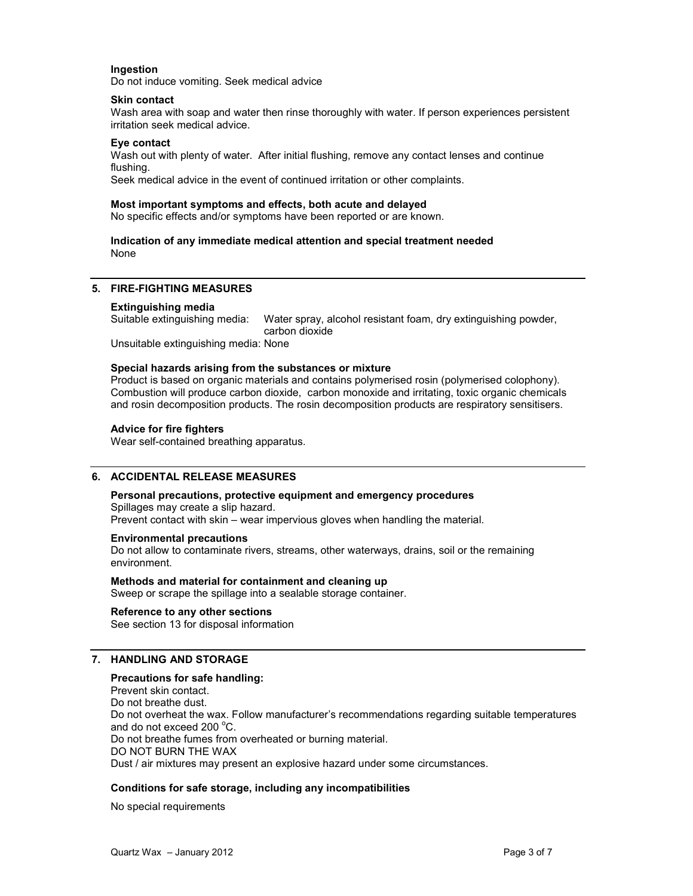### **Ingestion**

Do not induce vomiting. Seek medical advice

### Skin contact

Wash area with soap and water then rinse thoroughly with water. If person experiences persistent irritation seek medical advice.

### Eye contact

Wash out with plenty of water. After initial flushing, remove any contact lenses and continue flushing.

Seek medical advice in the event of continued irritation or other complaints.

### Most important symptoms and effects, both acute and delayed

No specific effects and/or symptoms have been reported or are known.

### Indication of any immediate medical attention and special treatment needed None

### 5. FIRE-FIGHTING MEASURES

### Extinguishing media

Suitable extinguishing media: Water spray, alcohol resistant foam, dry extinguishing powder, carbon dioxide

Unsuitable extinguishing media: None

### Special hazards arising from the substances or mixture

Product is based on organic materials and contains polymerised rosin (polymerised colophony). Combustion will produce carbon dioxide, carbon monoxide and irritating, toxic organic chemicals and rosin decomposition products. The rosin decomposition products are respiratory sensitisers.

### Advice for fire fighters

Wear self-contained breathing apparatus.

### 6. ACCIDENTAL RELEASE MEASURES

Personal precautions, protective equipment and emergency procedures Spillages may create a slip hazard. Prevent contact with skin – wear impervious gloves when handling the material.

### Environmental precautions

Do not allow to contaminate rivers, streams, other waterways, drains, soil or the remaining environment.

Methods and material for containment and cleaning up Sweep or scrape the spillage into a sealable storage container.

## Reference to any other sections

See section 13 for disposal information

### 7. HANDLING AND STORAGE

### Precautions for safe handling:

Prevent skin contact. Do not breathe dust. Do not overheat the wax. Follow manufacturer's recommendations regarding suitable temperatures and do not exceed 200 $\degree$ C. Do not breathe fumes from overheated or burning material. DO NOT BURN THE WAX Dust / air mixtures may present an explosive hazard under some circumstances.

### Conditions for safe storage, including any incompatibilities

No special requirements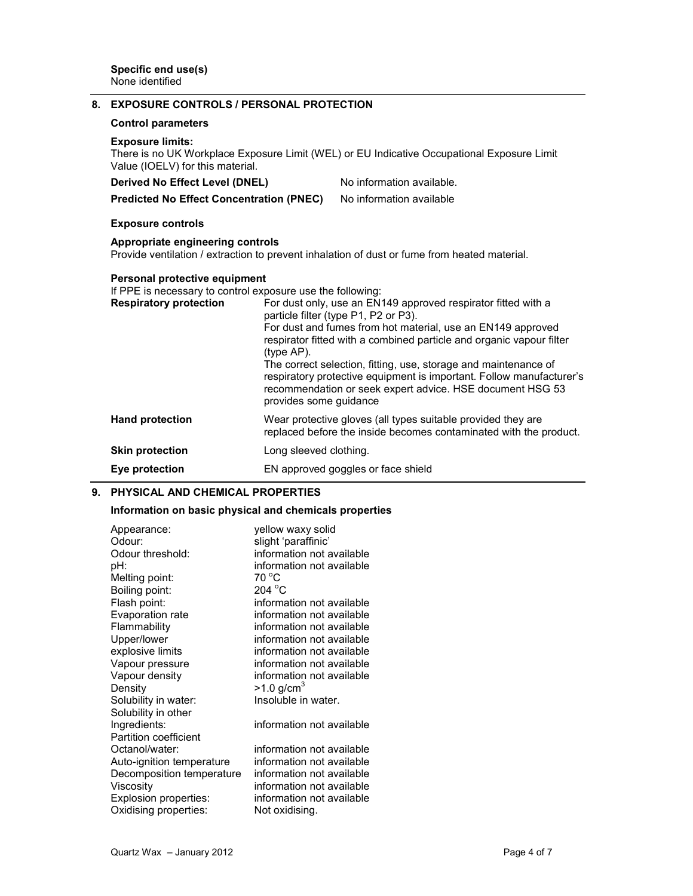| <b>Control parameters</b>                                   |                                                                                                                                                                                                                                                                                                                                                                                                                                                                                                                              |
|-------------------------------------------------------------|------------------------------------------------------------------------------------------------------------------------------------------------------------------------------------------------------------------------------------------------------------------------------------------------------------------------------------------------------------------------------------------------------------------------------------------------------------------------------------------------------------------------------|
| <b>Exposure limits:</b><br>Value (IOELV) for this material. |                                                                                                                                                                                                                                                                                                                                                                                                                                                                                                                              |
|                                                             | No information available.                                                                                                                                                                                                                                                                                                                                                                                                                                                                                                    |
|                                                             | No information available                                                                                                                                                                                                                                                                                                                                                                                                                                                                                                     |
| <b>Exposure controls</b>                                    |                                                                                                                                                                                                                                                                                                                                                                                                                                                                                                                              |
|                                                             |                                                                                                                                                                                                                                                                                                                                                                                                                                                                                                                              |
|                                                             |                                                                                                                                                                                                                                                                                                                                                                                                                                                                                                                              |
| <b>Respiratory protection</b>                               | For dust only, use an EN149 approved respirator fitted with a                                                                                                                                                                                                                                                                                                                                                                                                                                                                |
|                                                             | For dust and fumes from hot material, use an EN149 approved<br>respirator fitted with a combined particle and organic vapour filter                                                                                                                                                                                                                                                                                                                                                                                          |
|                                                             | The correct selection, fitting, use, storage and maintenance of<br>respiratory protective equipment is important. Follow manufacturer's<br>recommendation or seek expert advice. HSE document HSG 53                                                                                                                                                                                                                                                                                                                         |
| <b>Hand protection</b>                                      | Wear protective gloves (all types suitable provided they are<br>replaced before the inside becomes contaminated with the product.                                                                                                                                                                                                                                                                                                                                                                                            |
| <b>Skin protection</b>                                      |                                                                                                                                                                                                                                                                                                                                                                                                                                                                                                                              |
| Eye protection                                              | EN approved goggles or face shield                                                                                                                                                                                                                                                                                                                                                                                                                                                                                           |
|                                                             | There is no UK Workplace Exposure Limit (WEL) or EU Indicative Occupational Exposure Limit<br>Derived No Effect Level (DNEL)<br><b>Predicted No Effect Concentration (PNEC)</b><br>Appropriate engineering controls<br>Provide ventilation / extraction to prevent inhalation of dust or fume from heated material.<br>Personal protective equipment<br>If PPE is necessary to control exposure use the following:<br>particle filter (type P1, P2 or P3).<br>(type AP).<br>provides some guidance<br>Long sleeved clothing. |

### 9. PHYSICAL AND CHEMICAL PROPERTIES

# Information on basic physical and chemicals properties

| Appearance:<br>Odour:        | yellow waxy solid<br>slight 'paraffinic' |
|------------------------------|------------------------------------------|
| Odour threshold:             | information not available                |
| pH:                          | information not available                |
| Melting point:               | 70 °C                                    |
| Boiling point:               | $204\text{ °C}$                          |
| Flash point:                 | information not available                |
| Evaporation rate             | information not available                |
| Flammability                 | information not available                |
| Upper/lower                  | information not available                |
| explosive limits             | information not available                |
| Vapour pressure              | information not available                |
| Vapour density               | information not available                |
| Density                      | $>1.0$ g/cm <sup>3</sup>                 |
| Solubility in water:         | Insoluble in water.                      |
| Solubility in other          |                                          |
| Ingredients:                 | information not available                |
| <b>Partition coefficient</b> |                                          |
| Octanol/water:               | information not available                |
| Auto-ignition temperature    | information not available                |
| Decomposition temperature    | information not available                |
| Viscosity                    | information not available                |
| <b>Explosion properties:</b> | information not available                |
| Oxidising properties:        | Not oxidising.                           |
|                              |                                          |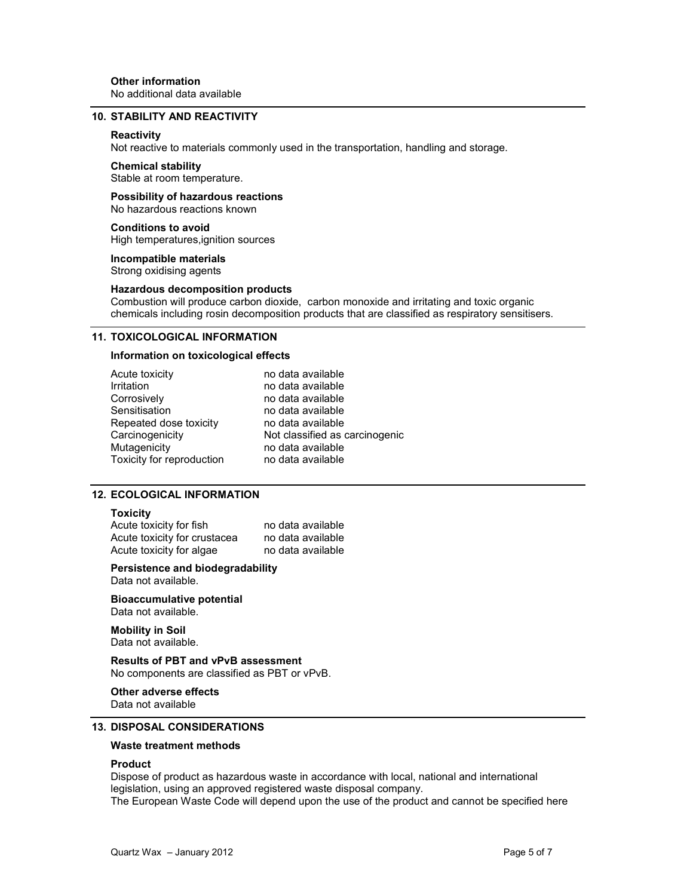### 10. STABILITY AND REACTIVITY

#### **Reactivity**

Not reactive to materials commonly used in the transportation, handling and storage.

### Chemical stability

Stable at room temperature.

### Possibility of hazardous reactions No hazardous reactions known

Conditions to avoid High temperatures,ignition sources

Incompatible materials Strong oxidising agents

#### Hazardous decomposition products

Combustion will produce carbon dioxide, carbon monoxide and irritating and toxic organic chemicals including rosin decomposition products that are classified as respiratory sensitisers.

### 11. TOXICOLOGICAL INFORMATION

### Information on toxicological effects

| Acute toxicity            | no data available              |
|---------------------------|--------------------------------|
| Irritation                | no data available              |
| Corrosively               | no data available              |
| Sensitisation             | no data available              |
| Repeated dose toxicity    | no data available              |
| Carcinogenicity           | Not classified as carcinogenic |
| Mutagenicity              | no data available              |
| Toxicity for reproduction | no data available              |

### 12. ECOLOGICAL INFORMATION

### **Toxicity**

Acute toxicity for fish no data available Acute toxicity for crustacea no data available Acute toxicity for algae no data available

Persistence and biodegradability Data not available.

Bioaccumulative potential Data not available.

Mobility in Soil Data not available.

Results of PBT and vPvB assessment No components are classified as PBT or vPvB.

### Other adverse effects

Data not available

### 13. DISPOSAL CONSIDERATIONS

### Waste treatment methods

### Product

Dispose of product as hazardous waste in accordance with local, national and international legislation, using an approved registered waste disposal company. The European Waste Code will depend upon the use of the product and cannot be specified here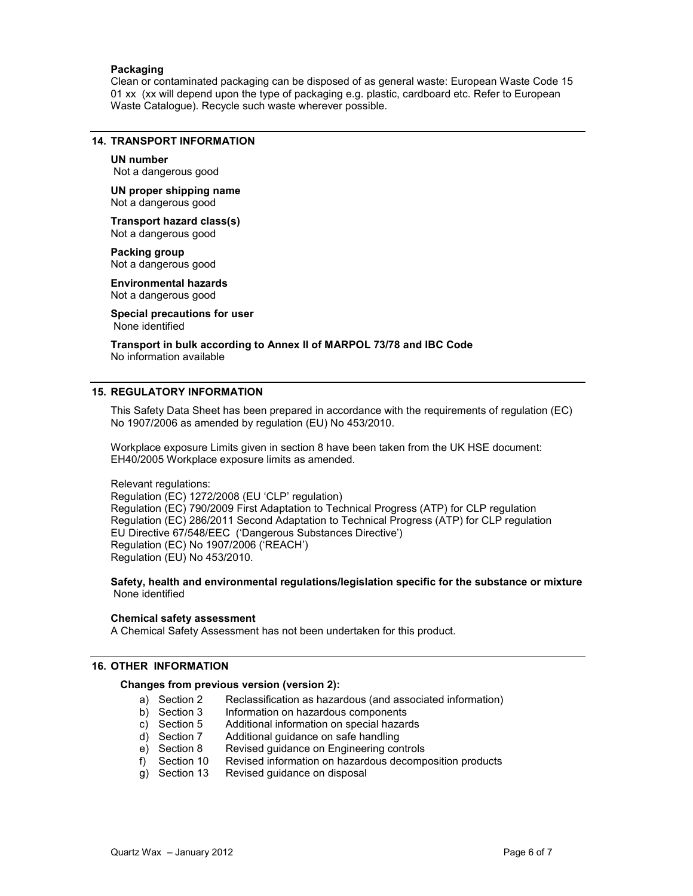### Packaging

Clean or contaminated packaging can be disposed of as general waste: European Waste Code 15 01 xx (xx will depend upon the type of packaging e.g. plastic, cardboard etc. Refer to European Waste Catalogue). Recycle such waste wherever possible.

### 14. TRANSPORT INFORMATION

### UN number

Not a dangerous good

UN proper shipping name Not a dangerous good

Transport hazard class(s) Not a dangerous good

Packing group Not a dangerous good

Environmental hazards Not a dangerous good

Special precautions for user None identified

Transport in bulk according to Annex II of MARPOL 73/78 and IBC Code No information available

### 15. REGULATORY INFORMATION

This Safety Data Sheet has been prepared in accordance with the requirements of regulation (EC) No 1907/2006 as amended by regulation (EU) No 453/2010.

Workplace exposure Limits given in section 8 have been taken from the UK HSE document: EH40/2005 Workplace exposure limits as amended.

Relevant regulations: Regulation (EC) 1272/2008 (EU 'CLP' regulation) Regulation (EC) 790/2009 First Adaptation to Technical Progress (ATP) for CLP regulation Regulation (EC) 286/2011 Second Adaptation to Technical Progress (ATP) for CLP regulation EU Directive 67/548/EEC ('Dangerous Substances Directive') Regulation (EC) No 1907/2006 ('REACH') Regulation (EU) No 453/2010.

Safety, health and environmental regulations/legislation specific for the substance or mixture None identified

### Chemical safety assessment

A Chemical Safety Assessment has not been undertaken for this product.

### 16. OTHER INFORMATION

### Changes from previous version (version 2):

- a) Section 2 Reclassification as hazardous (and associated information)<br>b) Section 3 Information on hazardous components
- b) Section 3 Information on hazardous components<br>c) Section 5 Additional information on special hazardous
- c) Section 5 Additional information on special hazards<br>d) Section 7 Additional guidance on safe handling
- d) Section 7 Additional guidance on safe handling<br>e) Section 8 Revised guidance on Engineering cor
- Revised guidance on Engineering controls
- f) Section 10 Revised information on hazardous decomposition products
- Revised guidance on disposal